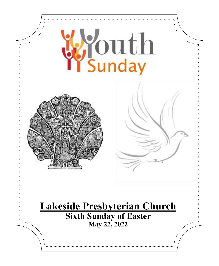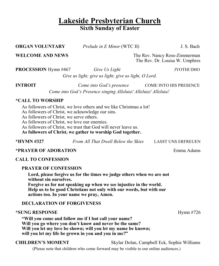# **Lakeside Presbyterian Church Sixth Sunday of Easter**

**ORGAN VOLUNTARY** *Prelude in E Minor* (WTC II) J. S. Bach

**WELCOME AND NEWS** The Rev. Nancy Ross-Zimmerman The Rev. Dr. Louisa W. Umphres

**PROCESSION** Hymn #467 *Give Us Light* JYOTHI DHO

*Give us light; give us light; give us light, O Lord.*

**INTROIT** *Come into God's presence* COME INTO HIS PRESENCE *Come into God's Presence singing Alleluia! Alleluia! Alleluia!*

### **\*CALL TO WORSHIP**

As followers of Christ, we love others and we like Christmas a lot! As followers of Christ, we acknowledge our sins. As followers of Christ, we serve others. As followers of Christ, we love our enemies. As followers of Christ, we trust that God will never leave us. **As followers of Christ, we gather to worship God together.**

**\*HYMN #327** *From All That Dwell Below the Skies* LASST UNS ERFREUEN

### **\*PRAYER OF ADORATION Example 2008** Emma Adams

### **CALL TO CONFESSION**

#### **PRAYER OF CONFESSION**

**Lord, please forgive us for the times we judge others when we are not without sin ourselves. Forgive us for not speaking up when we see injustice in the world.** 

**Help us to be good Christians not only with our words, but with our actions too. In your name we pray, Amen.**

### **DECLARATION OF FORGIVENESS**

#### **\*SUNG RESPONSE** Hymn #726

**"Will you come and follow me if I but call your name? Will you go where you don't know and never be the same? Will you let my love be shown; will you let my name be known; will you let my life be grown in you and you in me?"**

**CHILDREN'S MOMENT** Skylar Dolan, Campbell Eck, Sophie Williams

(Please note that children who come forward may be visible to our online audiences.)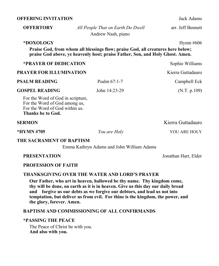#### **OFFERING INVITATION Jack Adams**

**OFFERTORY** *All People That on Earth Do Dwell* arr. Jeff Bennett Andrew Nash, piano **\*DOXOLOGY** Hymn #606 **Praise God, from whom all blessings flow; praise God, all creatures here below; praise God above, ye heavenly host; praise Father, Son, and Holy Ghost. Amen. \*PRAYER OF DEDICATION** Sophie Williams **PRAYER FOR ILLUMINATION** Kierra Guttadauro **PSALM READING** Psalm 67:1-7 **PSALM READING** PSALM PSALM **PSALM** PSALM **PSALM** PSALM **GOSPEL READING** John 14:23-29 (N.T. p.109) For the Word of God in scripture, For the Word of God among us. For the Word of God within us. **Thanks be to God. SERMON Kierra Guttadauro \*HYMN #705** *You are Holy* YOU ARE HOLY

### **THE SACRAMENT OF BAPTISM**

Emma Kathryn Adams and John William Adams

**PRESENTATION** *Jonathan Hart, Elder* 

#### **PROFESSION OF FAITH**

#### **THANKSGIVING OVER THE WATER AND LORD'S PRAYER**

**Our Father, who art in heaven, hallowed be thy name. Thy kingdom come, thy will be done, on earth as it is in heaven. Give us this day our daily bread and forgive us our debts as we forgive our debtors, and lead us not into temptation, but deliver us from evil. For thine is the kingdom, the power, and the glory, forever. Amen.**

### **BAPTISM AND COMMISSIONING OF ALL CONFIRMANDS**

#### **\*PASSING THE PEACE**

The Peace of Christ be with you. **And also with you.**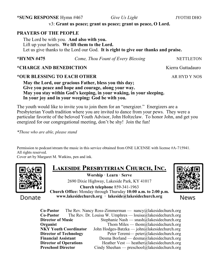**\*SUNG RESPONSE** Hymn #467 *Give Us Light* JYOTHI DHO

v3: **Grant us peace; grant us peace; grant us peace, O Lord.**

### **PRAYERS OF THE PEOPLE**

The Lord be with you. **And also with you.** Lift up your hearts. **We lift them to the Lord.** Let us give thanks to the Lord our God. **It is right to give our thanks and praise.**

**\*HYMN #475** *Come, Thou Fount of Every Blessing* NETTLETON

## **\*CHARGE AND BENEDICTION** Kierra Guttadauro

## **\*OUR BLESSING TO EACH OTHER AR HYD Y NOS**

**May the Lord, our gracious Father, bless you this day; Give you peace and hope and courage, along your way. May you stay within God's keeping, in your waking, in your sleeping. In your joy and in your weeping: God be with you.**

The youth would like to invite you to join them for an "energizer." Energizers are a Presbyterian Youth tradition where you are invited to dance from your pews. They were a particular favorite of the beloved Youth Advisor, John Holtzclaw. To honor John, and get you energized for our congregational meeting, don't be shy! Join the fun!

*\*Those who are able, please stand*

Permission to podcast/stream the music in this service obtained from ONE LICENSE with license #A-715941. All rights reserved.

Cover art by Margaret M. Watkins, pen and ink.



Donate

**Lakeside Presbyterian Church, Inc.** 

**Worship · Learn · Serve** 2690 Dixie Highway, Lakeside Park, KY 41017

**Church telephone** 859-341-1963 **Church Office:** Monday through Thursday **10:00 a.m. to 2:00 p.m. www.lakesidechurch.org · lakeside@lakesidechurch.org**

**Co-Pastor** The Rev. Nancy Ross-Zimmerman — nancy@lakesidechurch.org **Co-Pastor** The Rev. Dr. Louisa W. Umphres — louisa@lakesidechurch.org **Director of Music** Stephanie Nash — snash@lakesidechurch.org **Organist** Thom Miles — thom all the intervalse of the Thom Miles — thom all the intervalse of the intervalse of the intervalse of the intervalse of the intervalse of the intervalse of the intervalse of the intervalse of t **NKY Youth Coordinator** John Hodges-Batzka — john@lakesidechurch.org **Director of Technology** Peter Teremi— peter@lakesidechurch.org<br> **Financial Assistant** Desma Borland — desma@lakesidechurch.org Desma Borland — desma@lakesidechurch.org **Director of Operations** Heather Vest — heather@lakesidechurch.org<br> **Preschool Director** Cindy Sheehan — preschool@lakesidechurch.org Cindy Sheehan — preschool@lakesidechurch.org



News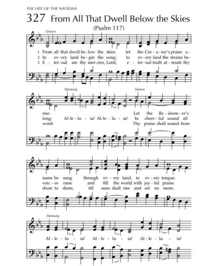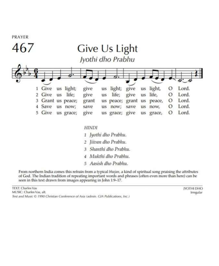

- 4 Mukthi dho Prabhu.
- 5 Aasish dho Prabhu.

From northern India comes this refrain from a typical bhajan, a kind of spiritual song praising the attributes of God. The Indian tradition of repeating important words and phrases (often even more than here) can be seen in this text drawn from images appearing in John 1:9-17.

TEXT: Charles Vas MUSIC: Charles Vas. alt. Text and Music © 1990 Christian Conference of Asia (admin. CIA Publications, Inc.) **IYOTHI DHO** Irregular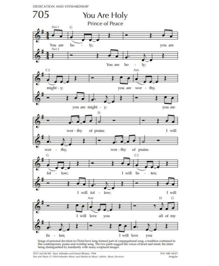DEDICATION AND STEWARDSHIP



Songs of personal devotion to Christ have long formed part of congregational song, a tradition continued in this contemporary praise and worship song. The two parts suggest the voices of heart and mind, the latter being di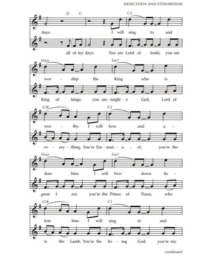DEDICATION AND STEWARDSHIP



continued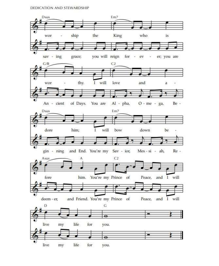DEDICATION AND STEWARDSHIP

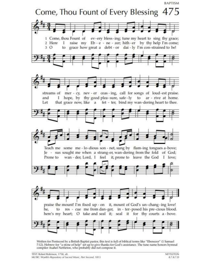

Written for Pentecost by a British Baptist pastor, this text is full of biblical terms like "Ebenezer" (1 Samuel 7:12), Hebrew for "a stone of help" set up to give thanks for God's assistance. The tune name honors hymnal compiler Asahel Nettleton, who probably did not compose it.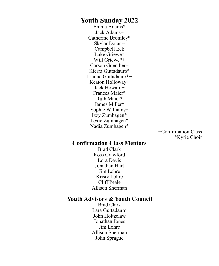# **Youth Sunday 2022**

Emma Adams\* Jack Adams+ Catherine Bromley\* Skylar Dolan+ Campbell Eck Luke Griewe\* Will Griewe\*+ Carson Guenther+ Kierra Guttadauro\* Lianne Guttadauro\*+ Keaton Holloway+ Jack Howard+ Frances Maier\* Ruth Maier\* James Miller\* Sophie Williams+ Izzy Zumhagen\* Lexie Zumhagen\* Nadia Zumhagen\*

+Confirmation Class \*Kyrie Choir

## **Confirmation Class Mentors**

Brad Clark Ross Crawford Lora Davis Jonathan Hart Jim Lohre Kristy Lohre Cliff Peale Allison Sherman

## **Youth Advisors & Youth Council**

Brad Clark Lara Guttadauro John Holtzclaw Jonathan Jones Jim Lohre Allison Sherman John Sprague